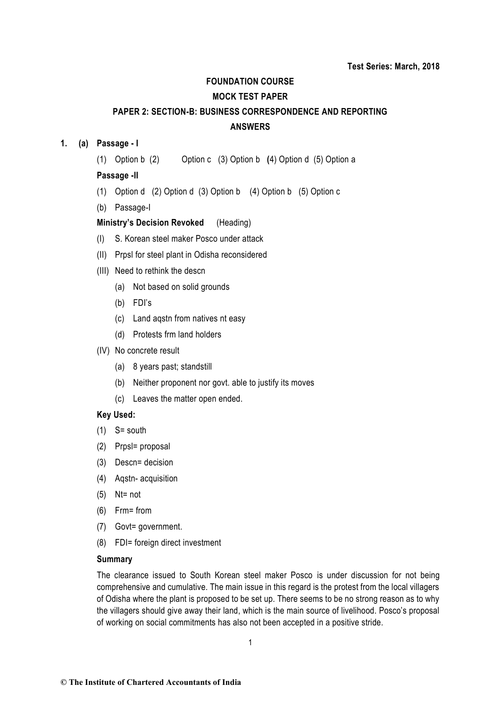#### **FOUNDATION COURSE**

### **MOCK TEST PAPER**

# **PAPER 2: SECTION-B: BUSINESS CORRESPONDENCE AND REPORTING ANSWERS**

## **1. (a) Passage - I**

(1) Option b (2) Option c(3) Option b **(**4) Option d (5) Option a

## **Passage -II**

- (1) Option d (2) Option d (3) Option b (4) Option b (5) Option c
- (b) Passage-I

## **Ministry's Decision Revoked** (Heading)

- (I) S. Korean steel maker Posco under attack
- (II) Prpsl for steel plant in Odisha reconsidered
- (III) Need to rethink the descn
	- (a) Not based on solid grounds
	- (b) FDI's
	- (c) Land aqstn from natives nt easy
	- (d) Protests frm land holders
- (IV) No concrete result
	- (a) 8 years past; standstill
	- (b) Neither proponent nor govt. able to justify its moves
	- (c) Leaves the matter open ended.

#### **Key Used:**

- $(1)$  S= south
- (2) Prpsl= proposal
- (3) Descn= decision
- (4) Aqstn- acquisition
- (5) Nt= not
- (6) Frm= from
- (7) Govt= government.
- (8) FDI= foreign direct investment

#### **Summary**

The clearance issued to South Korean steel maker Posco is under discussion for not being comprehensive and cumulative. The main issue in this regard is the protest from the local villagers of Odisha where the plant is proposed to be set up. There seems to be no strong reason as to why the villagers should give away their land, which is the main source of livelihood. Posco's proposal of working on social commitments has also not been accepted in a positive stride.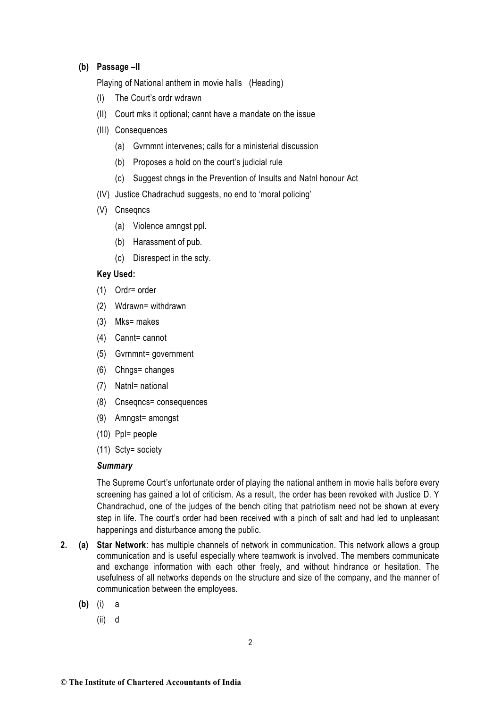## **(b) Passage –II**

Playing of National anthem in movie halls (Heading)

- (I) The Court's ordr wdrawn
- (II) Court mks it optional; cannt have a mandate on the issue
- (III) Consequences
	- (a) Gvrnmnt intervenes; calls for a ministerial discussion
	- (b) Proposes a hold on the court's judicial rule
	- (c) Suggest chngs in the Prevention of Insults and Natnl honour Act
- (IV) Justice Chadrachud suggests, no end to 'moral policing'
- (V) Cnseqncs
	- (a) Violence amngst ppl.
	- (b) Harassment of pub.
	- (c) Disrespect in the scty.

### **Key Used:**

- (1) Ordr= order
- (2) Wdrawn= withdrawn
- (3) Mks= makes
- (4) Cannt= cannot
- (5) Gvrnmnt= government
- (6) Chngs= changes
- (7) Natnl= national
- (8) Cnseqncs= consequences
- (9) Amngst= amongst
- (10) Ppl= people
- (11) Scty= society

### *Summary*

The Supreme Court's unfortunate order of playing the national anthem in movie halls before every screening has gained a lot of criticism. As a result, the order has been revoked with Justice D. Y Chandrachud, one of the judges of the bench citing that patriotism need not be shown at every step in life. The court's order had been received with a pinch of salt and had led to unpleasant happenings and disturbance among the public.

- **2. (a) Star Network**: has multiple channels of network in communication. This network allows a group communication and is useful especially where teamwork is involved. The members communicate and exchange information with each other freely, and without hindrance or hesitation. The usefulness of all networks depends on the structure and size of the company, and the manner of communication between the employees.
	- **(b)** (i) a
		- (ii) d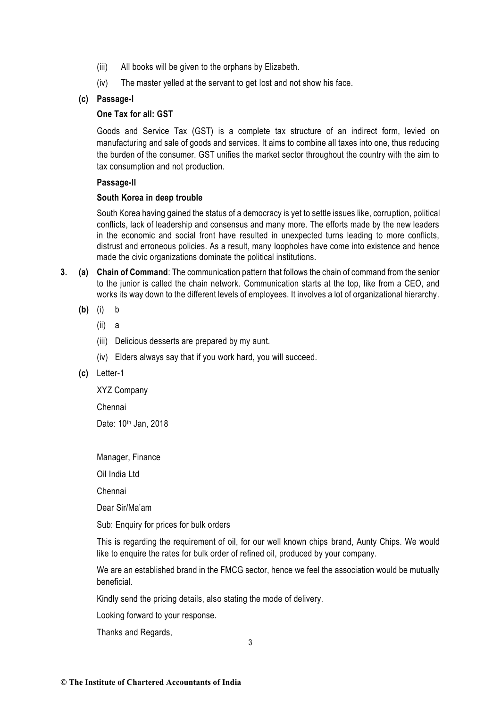- (iii) All books will be given to the orphans by Elizabeth.
- (iv) The master yelled at the servant to get lost and not show his face.

## **(c) Passage-I**

## **One Tax for all: GST**

Goods and Service Tax (GST) is a complete tax structure of an indirect form, levied on manufacturing and sale of goods and services. It aims to combine all taxes into one, thus reducing the burden of the consumer. GST unifies the market sector throughout the country with the aim to tax consumption and not production.

## **Passage-II**

## **South Korea in deep trouble**

South Korea having gained the status of a democracy is yet to settle issues like, corruption, political conflicts, lack of leadership and consensus and many more. The efforts made by the new leaders in the economic and social front have resulted in unexpected turns leading to more conflicts, distrust and erroneous policies. As a result, many loopholes have come into existence and hence made the civic organizations dominate the political institutions.

- **3. (a) Chain of Command**: The communication pattern that follows the chain of command from the senior to the junior is called the chain network. Communication starts at the top, like from a CEO, and works its way down to the different levels of employees. It involves a lot of organizational hierarchy.
	- **(b)** (i) b
		- (ii) a
		- (iii) Delicious desserts are prepared by my aunt.
		- (iv) Elders always say that if you work hard, you will succeed.
	- **(c)** Letter-1

XYZ Company

Chennai

Date: 10th Jan, 2018

Manager, Finance

Oil India Ltd

Chennai

Dear Sir/Ma'am

Sub: Enquiry for prices for bulk orders

This is regarding the requirement of oil, for our well known chips brand, Aunty Chips. We would like to enquire the rates for bulk order of refined oil, produced by your company.

We are an established brand in the FMCG sector, hence we feel the association would be mutually beneficial.

Kindly send the pricing details, also stating the mode of delivery.

Looking forward to your response.

Thanks and Regards,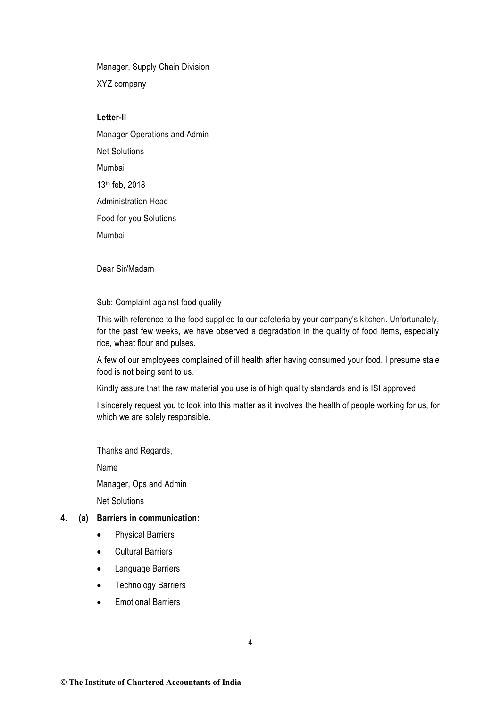Manager, Supply Chain Division XYZ company

## **Letter-II**

Manager Operations and Admin Net Solutions Mumbai 13th feb, 2018 Administration Head Food for you Solutions Mumbai

Dear Sir/Madam

Sub: Complaint against food quality

This with reference to the food supplied to our cafeteria by your company's kitchen. Unfortunately, for the past few weeks, we have observed a degradation in the quality of food items, especially rice, wheat flour and pulses.

A few of our employees complained of ill health after having consumed your food. I presume stale food is not being sent to us.

Kindly assure that the raw material you use is of high quality standards and is ISI approved.

I sincerely request you to look into this matter as it involves the health of people working for us, for which we are solely responsible.

Thanks and Regards,

Name

Manager, Ops and Admin

Net Solutions

## **4. (a) Barriers in communication:**

- Physical Barriers
- Cultural Barriers
- Language Barriers
- Technology Barriers
- Emotional Barriers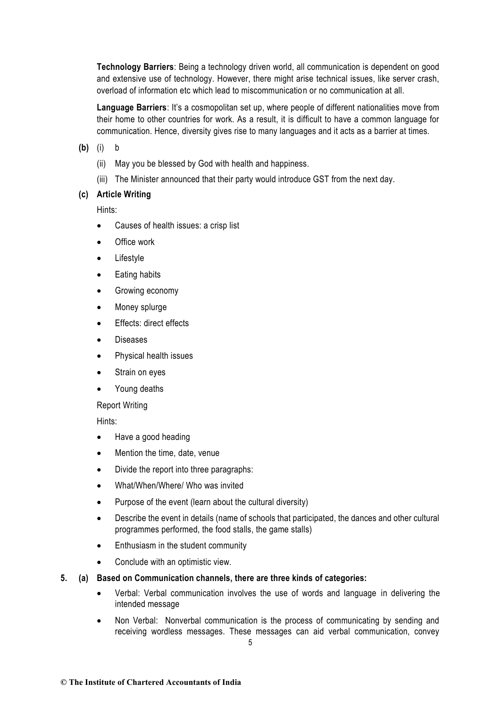**Technology Barriers**: Being a technology driven world, all communication is dependent on good and extensive use of technology. However, there might arise technical issues, like server crash, overload of information etc which lead to miscommunication or no communication at all.

**Language Barriers**: It's a cosmopolitan set up, where people of different nationalities move from their home to other countries for work. As a result, it is difficult to have a common language for communication. Hence, diversity gives rise to many languages and it acts as a barrier at times.

**(b)** (i) b

- (ii) May you be blessed by God with health and happiness.
- (iii) The Minister announced that their party would introduce GST from the next day.

## **(c) Article Writing**

Hints:

- Causes of health issues: a crisp list
- Office work
- Lifestyle
- Eating habits
- Growing economy
- Money splurge
- Effects: direct effects
- **Diseases**
- Physical health issues
- Strain on eyes
- Young deaths

Report Writing

Hints:

- Have a good heading
- Mention the time, date, venue
- Divide the report into three paragraphs:
- What/When/Where/ Who was invited
- Purpose of the event (learn about the cultural diversity)
- Describe the event in details (name of schools that participated, the dances and other cultural programmes performed, the food stalls, the game stalls)
- Enthusiasm in the student community
- Conclude with an optimistic view.
- **5. (a) Based on Communication channels, there are three kinds of categories:**
	- Verbal: Verbal communication involves the use of words and language in delivering the intended message
	- Non Verbal: Nonverbal communication is the process of communicating by sending and receiving wordless messages. These messages can aid verbal communication, convey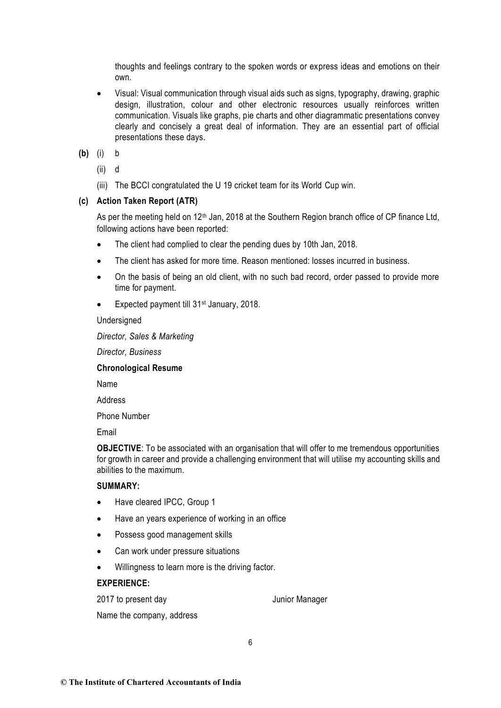thoughts and feelings contrary to the spoken words or express ideas and emotions on their own.

- Visual: Visual communication through visual aids such as signs, typography, drawing, graphic design, illustration, colour and other electronic resources usually reinforces written communication. Visuals like graphs, pie charts and other diagrammatic presentations convey clearly and concisely a great deal of information. They are an essential part of official presentations these days.
- **(b)** (i) b
	- (ii) d
	- (iii) The BCCI congratulated the U 19 cricket team for its World Cup win.

## **(c) Action Taken Report (ATR)**

As per the meeting held on  $12<sup>th</sup>$  Jan, 2018 at the Southern Region branch office of CP finance Ltd, following actions have been reported:

- The client had complied to clear the pending dues by 10th Jan, 2018.
- The client has asked for more time. Reason mentioned: losses incurred in business.
- On the basis of being an old client, with no such bad record, order passed to provide more time for payment.
- Expected payment till 31<sup>st</sup> January, 2018.

### Undersigned

*Director, Sales & Marketing*

*Director, Business*

#### **Chronological Resume**

Name

Address

Phone Number

Email

**OBJECTIVE**: To be associated with an organisation that will offer to me tremendous opportunities for growth in career and provide a challenging environment that will utilise my accounting skills and abilities to the maximum.

## **SUMMARY:**

- Have cleared IPCC, Group 1
- Have an years experience of working in an office
- Possess good management skills
- Can work under pressure situations
- Willingness to learn more is the driving factor.

### **EXPERIENCE:**

2017 to present day Junior Manager

Name the company, address